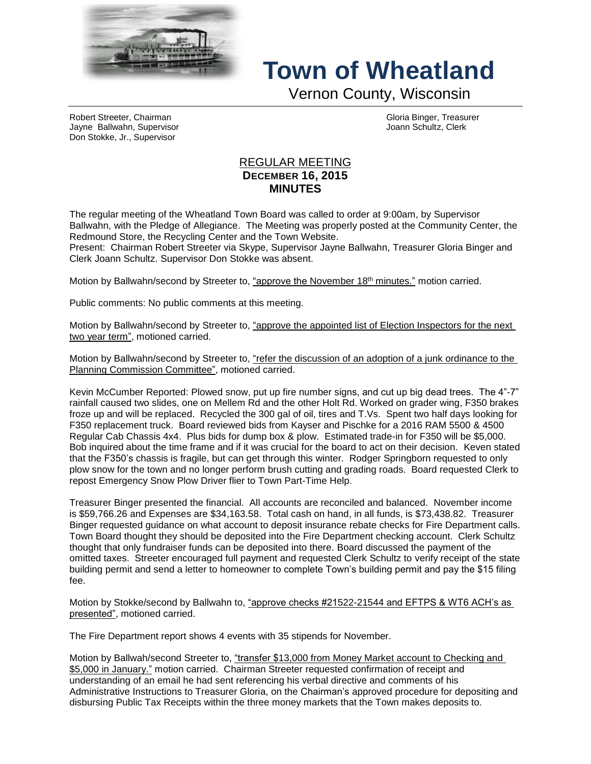

## **Town of Wheatland**

Vernon County, Wisconsin

Robert Streeter, Chairman Gloria Binger, Treasurer Jayne Ballwahn, Supervisor Joann Schultz, Clerk Don Stokke, Jr., Supervisor

## REGULAR MEETING **DECEMBER 16, 2015 MINUTES**

The regular meeting of the Wheatland Town Board was called to order at 9:00am, by Supervisor Ballwahn, with the Pledge of Allegiance. The Meeting was properly posted at the Community Center, the Redmound Store, the Recycling Center and the Town Website.

Present: Chairman Robert Streeter via Skype, Supervisor Jayne Ballwahn, Treasurer Gloria Binger and Clerk Joann Schultz. Supervisor Don Stokke was absent.

Motion by Ballwahn/second by Streeter to, "approve the November 18<sup>th</sup> minutes." motion carried.

Public comments: No public comments at this meeting.

Motion by Ballwahn/second by Streeter to, "approve the appointed list of Election Inspectors for the next two year term", motioned carried.

Motion by Ballwahn/second by Streeter to, "refer the discussion of an adoption of a junk ordinance to the Planning Commission Committee", motioned carried.

Kevin McCumber Reported: Plowed snow, put up fire number signs, and cut up big dead trees. The 4"-7" rainfall caused two slides, one on Mellem Rd and the other Holt Rd. Worked on grader wing, F350 brakes froze up and will be replaced. Recycled the 300 gal of oil, tires and T.Vs. Spent two half days looking for F350 replacement truck. Board reviewed bids from Kayser and Pischke for a 2016 RAM 5500 & 4500 Regular Cab Chassis 4x4. Plus bids for dump box & plow. Estimated trade-in for F350 will be \$5,000. Bob inquired about the time frame and if it was crucial for the board to act on their decision. Keven stated that the F350's chassis is fragile, but can get through this winter. Rodger Springborn requested to only plow snow for the town and no longer perform brush cutting and grading roads. Board requested Clerk to repost Emergency Snow Plow Driver flier to Town Part-Time Help.

Treasurer Binger presented the financial. All accounts are reconciled and balanced. November income is \$59,766.26 and Expenses are \$34,163.58. Total cash on hand, in all funds, is \$73,438.82. Treasurer Binger requested guidance on what account to deposit insurance rebate checks for Fire Department calls. Town Board thought they should be deposited into the Fire Department checking account. Clerk Schultz thought that only fundraiser funds can be deposited into there. Board discussed the payment of the omitted taxes. Streeter encouraged full payment and requested Clerk Schultz to verify receipt of the state building permit and send a letter to homeowner to complete Town's building permit and pay the \$15 filing fee.

Motion by Stokke/second by Ballwahn to, "approve checks #21522-21544 and EFTPS & WT6 ACH's as presented", motioned carried.

The Fire Department report shows 4 events with 35 stipends for November.

Motion by Ballwah/second Streeter to, "transfer \$13,000 from Money Market account to Checking and \$5,000 in January." motion carried. Chairman Streeter requested confirmation of receipt and understanding of an email he had sent referencing his verbal directive and comments of his Administrative Instructions to Treasurer Gloria, on the Chairman's approved procedure for depositing and disbursing Public Tax Receipts within the three money markets that the Town makes deposits to.